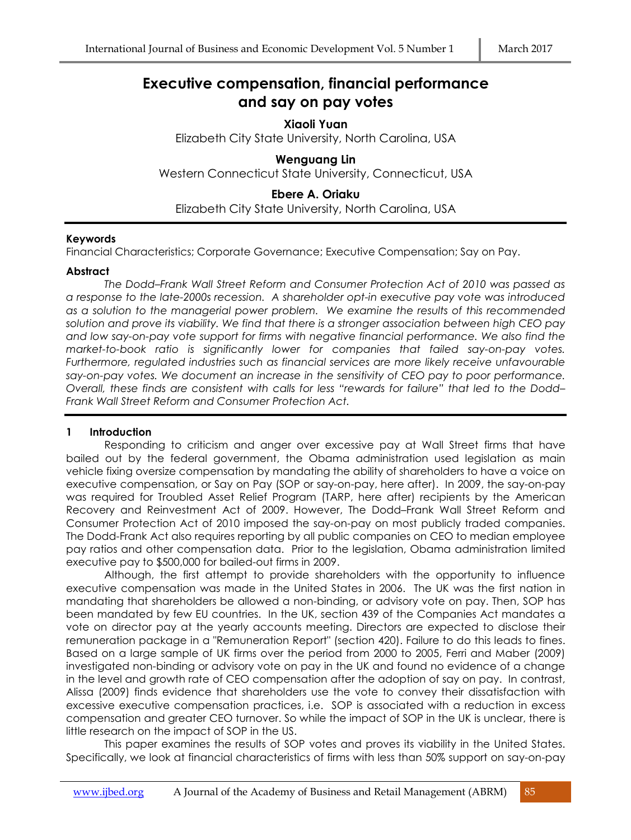# **Executive compensation, financial performance and say on pay votes**

**Xiaoli Yuan** 

Elizabeth City State University, North Carolina, USA

# **Wenguang Lin**  Western Connecticut State University, Connecticut, USA

## **Ebere A. Oriaku**

Elizabeth City State University, North Carolina, USA

## **Keywords**

Financial Characteristics; Corporate Governance; Executive Compensation; Say on Pay.

## **Abstract**

 *The Dodd–Frank Wall Street Reform and Consumer Protection Act of 2010 was passed as a response to the late-2000s recession. A shareholder opt-in executive pay vote was introduced as a solution to the managerial power problem. We examine the results of this recommended solution and prove its viability. We find that there is a stronger association between high CEO pay and low say-on-pay vote support for firms with negative financial performance. We also find the market-to-book ratio is significantly lower for companies that failed say-on-pay votes. Furthermore, regulated industries such as financial services are more likely receive unfavourable say-on-pay votes. We document an increase in the sensitivity of CEO pay to poor performance. Overall, these finds are consistent with calls for less "rewards for failure" that led to the Dodd– Frank Wall Street Reform and Consumer Protection Act.* 

## **1 Introduction**

 Responding to criticism and anger over excessive pay at Wall Street firms that have bailed out by the federal government, the Obama administration used legislation as main vehicle fixing oversize compensation by mandating the ability of shareholders to have a voice on executive compensation, or Say on Pay (SOP or say-on-pay, here after). In 2009, the say-on-pay was required for Troubled Asset Relief Program (TARP, here after) recipients by the American Recovery and Reinvestment Act of 2009. However, The Dodd–Frank Wall Street Reform and Consumer Protection Act of 2010 imposed the say-on-pay on most publicly traded companies. The Dodd-Frank Act also requires reporting by all public companies on CEO to median employee pay ratios and other compensation data. Prior to the legislation, Obama administration limited executive pay to \$500,000 for bailed-out firms in 2009.

 Although, the first attempt to provide shareholders with the opportunity to influence executive compensation was made in the United States in 2006. The UK was the first nation in mandating that shareholders be allowed a non-binding, or advisory vote on pay. Then, SOP has been mandated by few EU countries. In the UK, section 439 of the Companies Act mandates a vote on director pay at the yearly accounts meeting. Directors are expected to disclose their remuneration package in a "Remuneration Report" (section 420). Failure to do this leads to fines. Based on a large sample of UK firms over the period from 2000 to 2005, Ferri and Maber (2009) investigated non-binding or advisory vote on pay in the UK and found no evidence of a change in the level and growth rate of CEO compensation after the adoption of say on pay. In contrast, Alissa (2009) finds evidence that shareholders use the vote to convey their dissatisfaction with excessive executive compensation practices, i.e. SOP is associated with a reduction in excess compensation and greater CEO turnover. So while the impact of SOP in the UK is unclear, there is little research on the impact of SOP in the US.

 This paper examines the results of SOP votes and proves its viability in the United States. Specifically, we look at financial characteristics of firms with less than 50% support on say-on-pay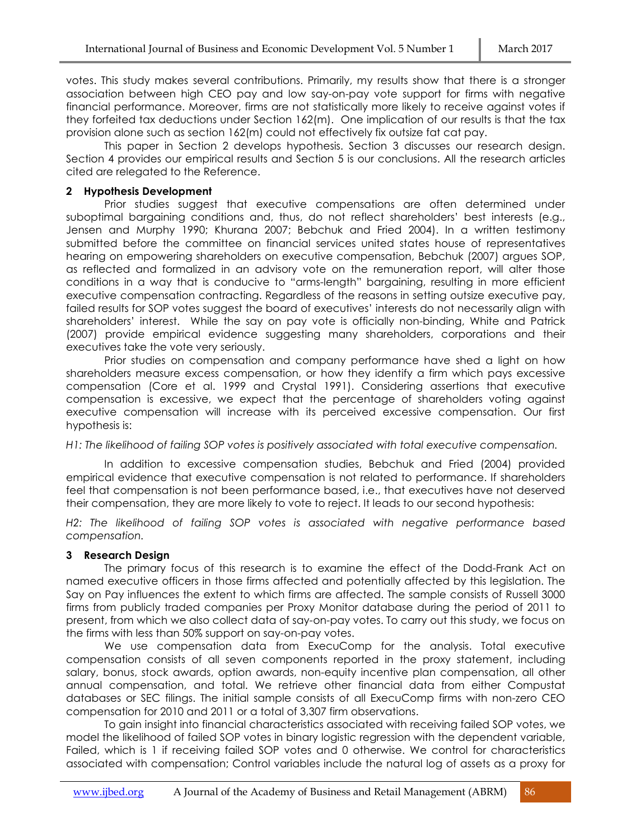votes. This study makes several contributions. Primarily, my results show that there is a stronger association between high CEO pay and low say-on-pay vote support for firms with negative financial performance. Moreover, firms are not statistically more likely to receive against votes if they forfeited tax deductions under Section 162(m). One implication of our results is that the tax provision alone such as section 162(m) could not effectively fix outsize fat cat pay.

 This paper in Section 2 develops hypothesis. Section 3 discusses our research design. Section 4 provides our empirical results and Section 5 is our conclusions. All the research articles cited are relegated to the Reference.

#### **2 Hypothesis Development**

 Prior studies suggest that executive compensations are often determined under suboptimal bargaining conditions and, thus, do not reflect shareholders' best interests (e.g., Jensen and Murphy 1990; Khurana 2007; Bebchuk and Fried 2004). In a written testimony submitted before the committee on financial services united states house of representatives hearing on empowering shareholders on executive compensation, Bebchuk (2007) argues SOP, as reflected and formalized in an advisory vote on the remuneration report, will alter those conditions in a way that is conducive to "arms-length" bargaining, resulting in more efficient executive compensation contracting. Regardless of the reasons in setting outsize executive pay, failed results for SOP votes suggest the board of executives' interests do not necessarily align with shareholders' interest. While the say on pay vote is officially non-binding, White and Patrick (2007) provide empirical evidence suggesting many shareholders, corporations and their executives take the vote very seriously.

 Prior studies on compensation and company performance have shed a light on how shareholders measure excess compensation, or how they identify a firm which pays excessive compensation (Core et al. 1999 and Crystal 1991). Considering assertions that executive compensation is excessive, we expect that the percentage of shareholders voting against executive compensation will increase with its perceived excessive compensation. Our first hypothesis is:

*H1: The likelihood of failing SOP votes is positively associated with total executive compensation.* 

 In addition to excessive compensation studies, Bebchuk and Fried (2004) provided empirical evidence that executive compensation is not related to performance. If shareholders feel that compensation is not been performance based, i.e., that executives have not deserved their compensation, they are more likely to vote to reject. It leads to our second hypothesis:

*H2: The likelihood of failing SOP votes is associated with negative performance based compensation.* 

## **3 Research Design**

 The primary focus of this research is to examine the effect of the Dodd-Frank Act on named executive officers in those firms affected and potentially affected by this legislation. The Say on Pay influences the extent to which firms are affected. The sample consists of Russell 3000 firms from publicly traded companies per Proxy Monitor database during the period of 2011 to present, from which we also collect data of say-on-pay votes. To carry out this study, we focus on the firms with less than 50% support on say-on-pay votes.

We use compensation data from ExecuComp for the analysis. Total executive compensation consists of all seven components reported in the proxy statement, including salary, bonus, stock awards, option awards, non-equity incentive plan compensation, all other annual compensation, and total. We retrieve other financial data from either Compustat databases or SEC filings. The initial sample consists of all ExecuComp firms with non-zero CEO compensation for 2010 and 2011 or a total of 3,307 firm observations.

 To gain insight into financial characteristics associated with receiving failed SOP votes, we model the likelihood of failed SOP votes in binary logistic regression with the dependent variable, Failed, which is 1 if receiving failed SOP votes and 0 otherwise. We control for characteristics associated with compensation; Control variables include the natural log of assets as a proxy for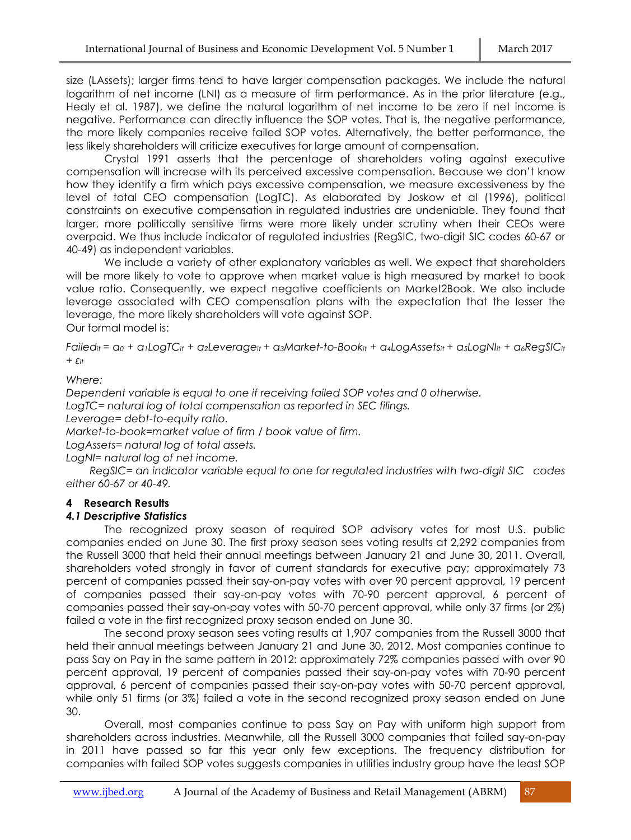size (LAssets); larger firms tend to have larger compensation packages. We include the natural logarithm of net income (LNI) as a measure of firm performance. As in the prior literature (e.g., Healy et al. 1987), we define the natural logarithm of net income to be zero if net income is negative. Performance can directly influence the SOP votes. That is, the negative performance, the more likely companies receive failed SOP votes. Alternatively, the better performance, the less likely shareholders will criticize executives for large amount of compensation.

 Crystal 1991 asserts that the percentage of shareholders voting against executive compensation will increase with its perceived excessive compensation. Because we don't know how they identify a firm which pays excessive compensation, we measure excessiveness by the level of total CEO compensation (LogTC). As elaborated by Joskow et al (1996), political constraints on executive compensation in regulated industries are undeniable. They found that larger, more politically sensitive firms were more likely under scrutiny when their CEOs were overpaid. We thus include indicator of regulated industries (RegSIC, two-digit SIC codes 60-67 or 40-49) as independent variables.

 We include a variety of other explanatory variables as well. We expect that shareholders will be more likely to vote to approve when market value is high measured by market to book value ratio. Consequently, we expect negative coefficients on Market2Book. We also include leverage associated with CEO compensation plans with the expectation that the lesser the leverage, the more likely shareholders will vote against SOP. Our formal model is:

Failed<sub>it</sub> =  $a_0 + a_1$ LogTC<sub>it</sub> +  $a_2$ Leverage<sub>it</sub> +  $a_3$ Market-to-Book<sub>it</sub> +  $a_4$ LogAssets<sub>it</sub> +  $a_5$ LogNl<sub>it</sub> +  $a_6$ RegSIC<sub>it</sub> *+ εit*

*Where:* 

*Dependent variable is equal to one if receiving failed SOP votes and 0 otherwise.* 

*LogTC= natural log of total compensation as reported in SEC filings.* 

*Leverage= debt-to-equity ratio.* 

*Market-to-book=market value of firm / book value of firm.* 

*LogAssets= natural log of total assets.* 

*LogNI= natural log of net income.* 

 *RegSIC= an indicator variable equal to one for regulated industries with two-digit SIC codes either 60-67 or 40-49.* 

#### **4 Research Results**

#### *4.1 Descriptive Statistics*

 The recognized proxy season of required SOP advisory votes for most U.S. public companies ended on June 30. The first proxy season sees voting results at 2,292 companies from the Russell 3000 that held their annual meetings between January 21 and June 30, 2011. Overall, shareholders voted strongly in favor of current standards for executive pay; approximately 73 percent of companies passed their say-on-pay votes with over 90 percent approval, 19 percent of companies passed their say-on-pay votes with 70-90 percent approval, 6 percent of companies passed their say-on-pay votes with 50-70 percent approval, while only 37 firms (or 2%) failed a vote in the first recognized proxy season ended on June 30.

 The second proxy season sees voting results at 1,907 companies from the Russell 3000 that held their annual meetings between January 21 and June 30, 2012. Most companies continue to pass Say on Pay in the same pattern in 2012: approximately 72% companies passed with over 90 percent approval, 19 percent of companies passed their say-on-pay votes with 70-90 percent approval, 6 percent of companies passed their say-on-pay votes with 50-70 percent approval, while only 51 firms (or 3%) failed a vote in the second recognized proxy season ended on June 30.

 Overall, most companies continue to pass Say on Pay with uniform high support from shareholders across industries. Meanwhile, all the Russell 3000 companies that failed say-on-pay in 2011 have passed so far this year only few exceptions. The frequency distribution for companies with failed SOP votes suggests companies in utilities industry group have the least SOP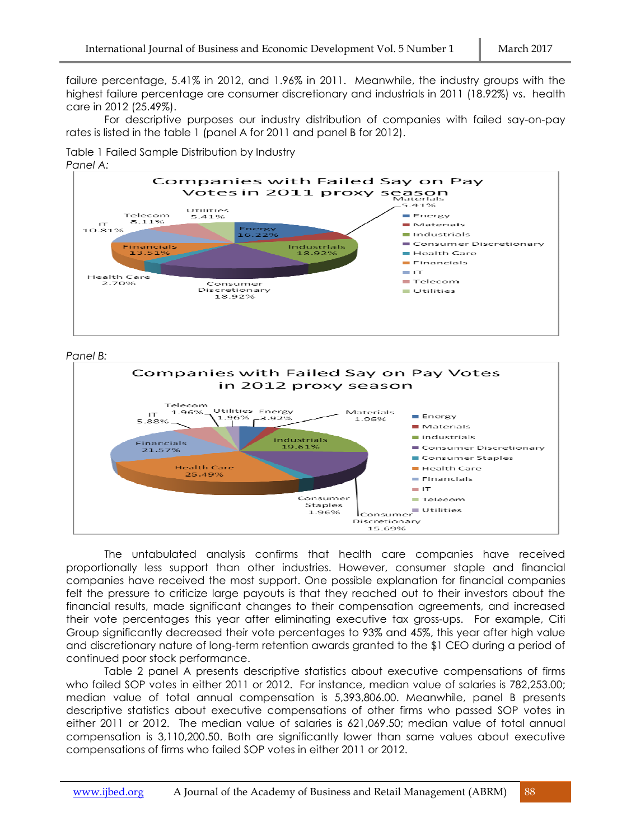failure percentage, 5.41% in 2012, and 1.96% in 2011. Meanwhile, the industry groups with the highest failure percentage are consumer discretionary and industrials in 2011 (18.92%) vs. health care in 2012 (25.49%).

 For descriptive purposes our industry distribution of companies with failed say-on-pay rates is listed in the table 1 (panel A for 2011 and panel B for 2012).

Table 1 Failed Sample Distribution by Industry *Panel A:* 



*Panel B:* 



 The untabulated analysis confirms that health care companies have received proportionally less support than other industries. However, consumer staple and financial companies have received the most support. One possible explanation for financial companies felt the pressure to criticize large payouts is that they reached out to their investors about the financial results, made significant changes to their compensation agreements, and increased their vote percentages this year after eliminating executive tax gross-ups. For example, Citi Group significantly decreased their vote percentages to 93% and 45%, this year after high value and discretionary nature of long-term retention awards granted to the \$1 CEO during a period of continued poor stock performance.

 Table 2 panel A presents descriptive statistics about executive compensations of firms who failed SOP votes in either 2011 or 2012. For instance, median value of salaries is 782,253.00; median value of total annual compensation is 5,393,806.00. Meanwhile, panel B presents descriptive statistics about executive compensations of other firms who passed SOP votes in either 2011 or 2012. The median value of salaries is 621,069.50; median value of total annual compensation is 3,110,200.50. Both are significantly lower than same values about executive compensations of firms who failed SOP votes in either 2011 or 2012.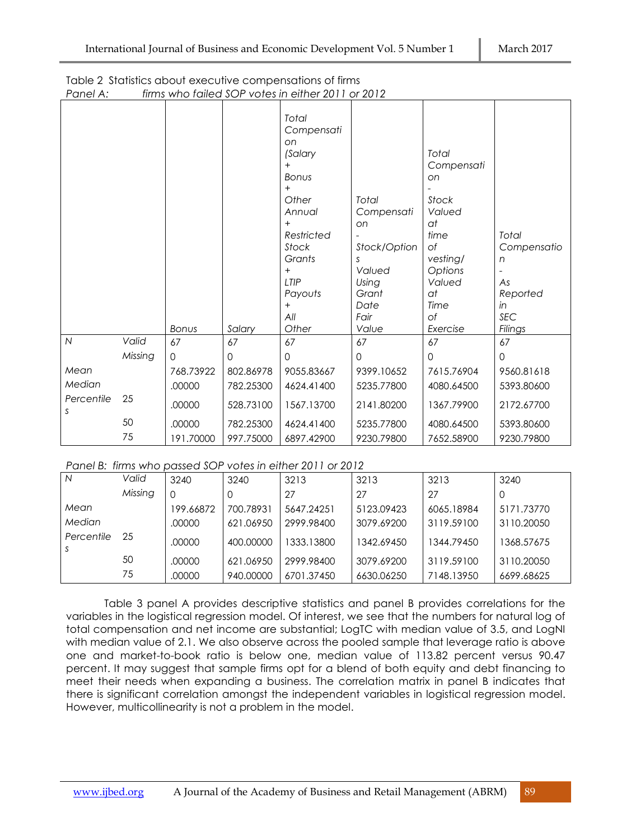|                 |         | <b>Bonus</b> | Salary    | <b>Total</b><br>Compensati<br>on<br>(Salary<br>$^{+}$<br><b>Bonus</b><br>$\ddot{}$<br>Other<br>Annual<br>$+$<br>Restricted<br><b>Stock</b><br>Grants<br>$+$<br><b>LTIP</b><br>Payouts<br>$+$<br>All<br>Other | Total<br>Compensati<br>on<br>Stock/Option<br>S<br>Valued<br>Using<br>Grant<br>Date<br>Fair<br>Value | Total<br>Compensati<br>on<br><b>Stock</b><br>Valued<br>at<br>time<br>of<br>vesting/<br>Options<br>Valued<br>at<br>Time<br>Οf<br>Exercise | <b>Total</b><br>Compensatio<br>n<br>As<br>Reported<br>in<br><b>SEC</b><br>Filings |
|-----------------|---------|--------------|-----------|--------------------------------------------------------------------------------------------------------------------------------------------------------------------------------------------------------------|-----------------------------------------------------------------------------------------------------|------------------------------------------------------------------------------------------------------------------------------------------|-----------------------------------------------------------------------------------|
| $\overline{N}$  | Valid   | 67           | 67        | 67                                                                                                                                                                                                           | 67                                                                                                  | 67                                                                                                                                       | 67                                                                                |
|                 | Missing | $\Omega$     | $\Omega$  | $\Omega$                                                                                                                                                                                                     | $\Omega$                                                                                            | $\mathbf{O}$                                                                                                                             | 0                                                                                 |
| Mean            |         | 768.73922    | 802.86978 | 9055.83667                                                                                                                                                                                                   | 9399.10652                                                                                          | 7615.76904                                                                                                                               | 9560.81618                                                                        |
| Median          |         | .00000       | 782.25300 | 4624.41400                                                                                                                                                                                                   | 5235.77800                                                                                          | 4080.64500                                                                                                                               | 5393.80600                                                                        |
| Percentile<br>S | 25      | .00000       | 528.73100 | 1567.13700                                                                                                                                                                                                   | 2141.80200                                                                                          | 1367.79900                                                                                                                               | 2172.67700                                                                        |
|                 | 50      | .00000       | 782.25300 | 4624.41400                                                                                                                                                                                                   | 5235.77800                                                                                          | 4080.64500                                                                                                                               | 5393.80600                                                                        |
|                 | 75      | 191.70000    | 997.75000 | 6897.42900                                                                                                                                                                                                   | 9230.79800                                                                                          | 7652.58900                                                                                                                               | 9230.79800                                                                        |

|          | Table 2 Statistics about executive compensations of firms |
|----------|-----------------------------------------------------------|
| Panel A: | firms who failed SOP votes in either 2011 or 2012         |

## *Panel B: firms who passed SOP votes in either 2011 or 2012*

| N          | Valid   | 3240      | 3240      | 3213       | 3213       | 3213       | 3240       |
|------------|---------|-----------|-----------|------------|------------|------------|------------|
|            | Missing | $\Omega$  |           | 27         | 27         | 27         | O          |
| Mean       |         | 199.66872 | 700.78931 | 5647.24251 | 5123.09423 | 6065.18984 | 5171.73770 |
| Median     |         | .00000    | 621.06950 | 2999.98400 | 3079.69200 | 3119.59100 | 3110.20050 |
| Percentile | 25      | .00000    | 400.00000 | 333.13800  | 1342.69450 | 1344.79450 | 1368.57675 |
|            | 50      | .00000    | 621.06950 | 2999.98400 | 3079.69200 | 3119.59100 | 3110.20050 |
|            | 75      | 00000     | 940.00000 | 6701.37450 | 6630.06250 | 7148.13950 | 6699.68625 |

 Table 3 panel A provides descriptive statistics and panel B provides correlations for the variables in the logistical regression model. Of interest, we see that the numbers for natural log of total compensation and net income are substantial; LogTC with median value of 3.5, and LogNI with median value of 2.1. We also observe across the pooled sample that leverage ratio is above one and market-to-book ratio is below one, median value of 113.82 percent versus 90.47 percent. It may suggest that sample firms opt for a blend of both equity and debt financing to meet their needs when expanding a business. The correlation matrix in panel B indicates that there is significant correlation amongst the independent variables in logistical regression model. However, multicollinearity is not a problem in the model.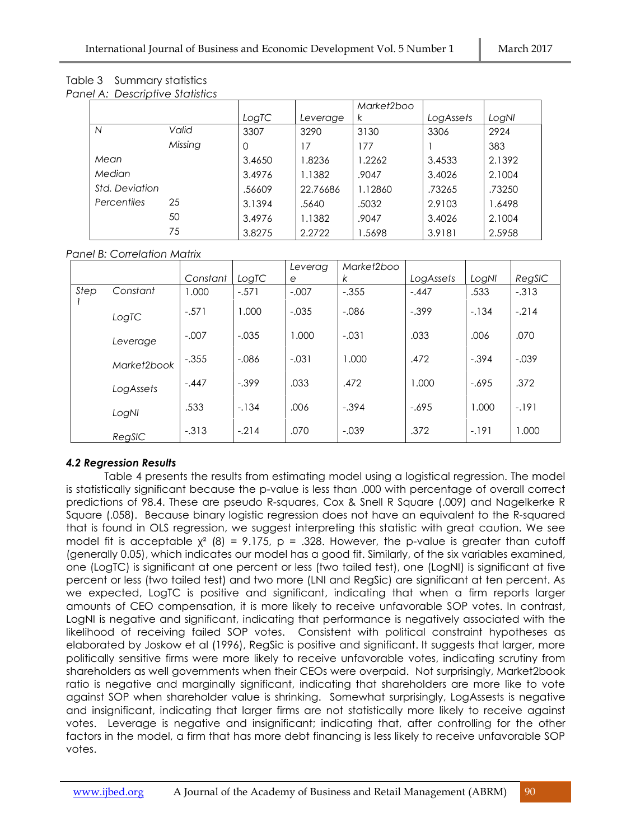|                       |         |        |          | Market2boo |           |        |
|-----------------------|---------|--------|----------|------------|-----------|--------|
|                       |         | LogTC  | Leverage | K          | LogAssets | LogNI  |
| $\overline{N}$        | Valid   | 3307   | 3290     | 3130       | 3306      | 2924   |
|                       | Missing | 0      | 17       | 177        |           | 383    |
| Mean                  |         | 3.4650 | 1.8236   | 1.2262     | 3.4533    | 2.1392 |
| Median                |         | 3.4976 | 1.1382   | .9047      | 3.4026    | 2.1004 |
| <i>Std. Deviation</i> |         | .56609 | 22.76686 | 1.12860    | .73265    | .73250 |
| Percentiles           | 25      | 3.1394 | .5640    | .5032      | 2.9103    | 1.6498 |
|                       | 50      | 3.4976 | 1.1382   | .9047      | 3.4026    | 2.1004 |
|                       | 75      | 3.8275 | 2.2722   | 1.5698     | 3.9181    | 2.5958 |

#### Table 3 Summary statistics *Panel A: Descriptive Statistics*

## *Panel B: Correlation Matrix*

|      |             |          |          | Leverag | Market2boo |           |         |          |
|------|-------------|----------|----------|---------|------------|-----------|---------|----------|
|      |             | Constant | LogTC    | е       | K          | LogAssets | LogNI   | RegSIC   |
| Step | Constant    | 1.000    | $-.571$  | $-.007$ | $-.355$    | $-.447$   | .533    | $-0.313$ |
|      | LogTC       | $-.571$  | 1.000    | $-.035$ | $-0.086$   | $-.399$   | $-134$  | $-214$   |
|      | Leverage    | $-.007$  | $-.035$  | 1.000   | $-.031$    | .033      | .006    | .070     |
|      | Market2book | $-.355$  | $-0.086$ | $-.031$ | 1.000      | .472      | $-.394$ | $-.039$  |
|      | LogAssets   | $-.447$  | $-.399$  | .033    | .472       | 1.000     | $-.695$ | .372     |
|      | LogNI       | .533     | $-134$   | .006    | $-.394$    | $-.695$   | 1.000   | $-191$   |
|      | RegSIC      | $-.313$  | $-214$   | .070    | $-.039$    | .372      | $-191$  | 1.000    |

# *4.2 Regression Results*

 Table 4 presents the results from estimating model using a logistical regression. The model is statistically significant because the p-value is less than .000 with percentage of overall correct predictions of 98.4. These are pseudo R-squares, Cox & Snell R Square (.009) and Nagelkerke R Square (.058). Because binary logistic regression does not have an equivalent to the R-squared that is found in OLS regression, we suggest interpreting this statistic with great caution. We see model fit is acceptable  $x^2$  (8) = 9.175, p = .328. However, the p-value is greater than cutoff (generally 0.05), which indicates our model has a good fit. Similarly, of the six variables examined, one (LogTC) is significant at one percent or less (two tailed test), one (LogNI) is significant at five percent or less (two tailed test) and two more (LNI and RegSic) are significant at ten percent. As we expected, LogTC is positive and significant, indicating that when a firm reports larger amounts of CEO compensation, it is more likely to receive unfavorable SOP votes. In contrast, LogNI is negative and significant, indicating that performance is negatively associated with the likelihood of receiving failed SOP votes. Consistent with political constraint hypotheses as elaborated by Joskow et al (1996), RegSic is positive and significant. It suggests that larger, more politically sensitive firms were more likely to receive unfavorable votes, indicating scrutiny from shareholders as well governments when their CEOs were overpaid. Not surprisingly, Market2book ratio is negative and marginally significant, indicating that shareholders are more like to vote against SOP when shareholder value is shrinking. Somewhat surprisingly, LogAssests is negative and insignificant, indicating that larger firms are not statistically more likely to receive against votes. Leverage is negative and insignificant; indicating that, after controlling for the other factors in the model, a firm that has more debt financing is less likely to receive unfavorable SOP votes.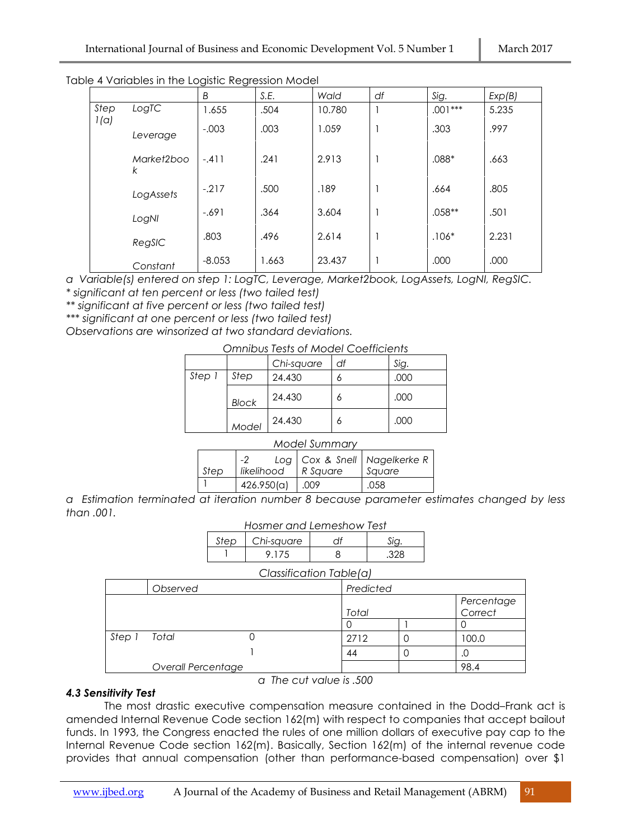|      |                 | B        | S.E.  | Wald   | df           | Sig.      | Exp(B) |
|------|-----------------|----------|-------|--------|--------------|-----------|--------|
| Step | LogTC           | 1.655    | .504  | 10.780 |              | $.001***$ | 5.235  |
| l(a) | Leverage        | $-.003$  | .003  | 1.059  | $\mathbf{1}$ | .303      | .997   |
|      | Market2boo<br>k | $-.411$  | .241  | 2.913  | $\mathbf{1}$ | $.088*$   | .663   |
|      | LogAssets       | $-217$   | .500  | .189   | $\mathbf{1}$ | .664      | .805   |
|      | LogNI           | $-.691$  | .364  | 3.604  | $\mathbf{1}$ | $.058**$  | .501   |
|      | RegSIC          | .803     | .496  | 2.614  | $\mathbf{1}$ | $.106*$   | 2.231  |
|      | Constant        | $-8.053$ | 1.663 | 23.437 |              | .000      | .000   |

Table 4 Variables in the Logistic Regression Model

*a Variable(s) entered on step 1: LogTC, Leverage, Market2book, LogAssets, LogNI, RegSIC.* 

*\* significant at ten percent or less (two tailed test)* 

*\*\* significant at five percent or less (two tailed test)* 

*\*\*\* significant at one percent or less (two tailed test)* 

*Observations are winsorized at two standard deviations.* 

*Omnibus Tests of Model Coefficients* 

|        |              | Chi-square | df | Sig. |
|--------|--------------|------------|----|------|
| Step 1 | Step         | 24.430     | o  | .000 |
|        | <b>Block</b> | 24.430     | Ô  | .000 |
|        | Model        | 24.430     | 6  | .000 |

#### *Model Summary*

|      | likelihood | Log   Cox & Snell   Nagelkerke R |        |
|------|------------|----------------------------------|--------|
| Step |            | R Square                         | Square |
|      | 426.950(a) | .009                             | .058   |

*a Estimation terminated at iteration number 8 because parameter estimates changed by less than .001.* 

|        | Hosmer and Lemeshow Test |  |
|--------|--------------------------|--|
| $\sim$ |                          |  |

|  | sauare |  |
|--|--------|--|
|  |        |  |

|              |  | $\mathbf{r}$       |  |                       |
|--------------|--|--------------------|--|-----------------------|
| Observed     |  | Predicted          |  |                       |
|              |  |                    |  | Percentage<br>Correct |
|              |  | <b>Total</b>       |  |                       |
|              |  |                    |  |                       |
| <b>Total</b> |  | 2712               |  | 100.0                 |
|              |  | 44                 |  |                       |
|              |  |                    |  | 98.4                  |
|              |  | Overall Percentage |  |                       |

## *Classification Table(a)*

## *4.3 Sensitivity Test*

*a The cut value is .500* 

 The most drastic executive compensation measure contained in the Dodd–Frank act is amended Internal Revenue Code section 162(m) with respect to companies that accept bailout funds. In 1993, the Congress enacted the rules of one million dollars of executive pay cap to the Internal Revenue Code section 162(m). Basically, Section 162(m) of the internal revenue code provides that annual compensation (other than performance-based compensation) over \$1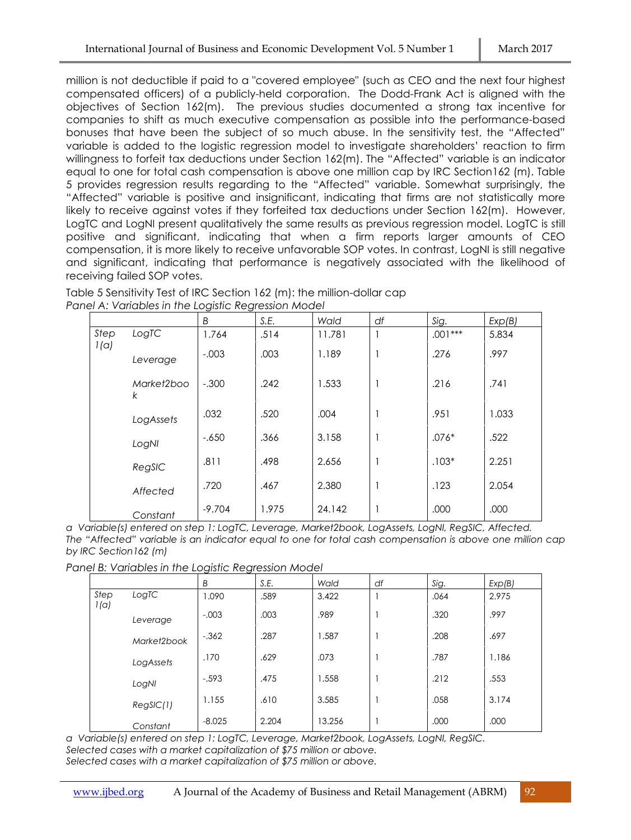million is not deductible if paid to a "covered employee" (such as CEO and the next four highest compensated officers) of a publicly-held corporation. The Dodd-Frank Act is aligned with the objectives of Section 162(m). The previous studies documented a strong tax incentive for companies to shift as much executive compensation as possible into the performance-based bonuses that have been the subject of so much abuse. In the sensitivity test, the "Affected" variable is added to the logistic regression model to investigate shareholders' reaction to firm willingness to forfeit tax deductions under Section 162(m). The "Affected" variable is an indicator equal to one for total cash compensation is above one million cap by IRC Section162 (m). Table 5 provides regression results regarding to the "Affected" variable. Somewhat surprisingly, the "Affected" variable is positive and insignificant, indicating that firms are not statistically more likely to receive against votes if they forfeited tax deductions under Section 162(m). However, LogTC and LogNI present qualitatively the same results as previous regression model. LogTC is still positive and significant, indicating that when a firm reports larger amounts of CEO compensation, it is more likely to receive unfavorable SOP votes. In contrast, LogNI is still negative and significant, indicating that performance is negatively associated with the likelihood of receiving failed SOP votes.

|      |                 | B        | S.E.  | Wald   | df                       | Sig.      | Exp(B) |
|------|-----------------|----------|-------|--------|--------------------------|-----------|--------|
| Step | LogTC           | 1.764    | .514  | 11.781 | -1                       | $.001***$ | 5.834  |
| 1(a) | Leverage        | $-.003$  | .003  | 1.189  | -1                       | .276      | .997   |
|      | Market2boo<br>k | $-.300$  | .242  | 1.533  | $\mathbf{1}$             | .216      | .741   |
|      | LogAssets       | .032     | .520  | .004   | $\mathbf{1}$             | .951      | 1.033  |
|      | LogNI           | $-.650$  | .366  | 3.158  | $\overline{\phantom{a}}$ | $.076*$   | .522   |
|      | RegSIC          | .811     | .498  | 2.656  | $\overline{1}$           | $.103*$   | 2.251  |
|      | Affected        | .720     | .467  | 2.380  | $\mathbf{1}$             | .123      | 2.054  |
|      | Constant        | $-9.704$ | 1.975 | 24.142 |                          | .000      | .000   |

Table 5 Sensitivity Test of IRC Section 162 (m): the million-dollar cap *Panel A: Variables in the Logistic Regression Model* 

*a Variable(s) entered on step 1: LogTC, Leverage, Market2book, LogAssets, LogNI, RegSIC, Affected. The "Affected" variable is an indicator equal to one for total cash compensation is above one million cap by IRC Section162 (m)* 

| Panel B: Variables in the Logistic Regression Model |  |  |  |
|-----------------------------------------------------|--|--|--|
|-----------------------------------------------------|--|--|--|

|              |             | B        | S.E.  | Wald   | df | Sig. | Exp(B) |
|--------------|-------------|----------|-------|--------|----|------|--------|
| Step<br>1(a) | LogTC       | 1.090    | .589  | 3.422  |    | .064 | 2.975  |
|              | Leverage    | $-.003$  | .003  | .989   |    | .320 | .997   |
|              | Market2book | $-.362$  | .287  | 1.587  |    | .208 | .697   |
|              | LogAssets   | .170     | .629  | .073   |    | .787 | 1.186  |
|              | LogNI       | $-0.593$ | .475  | 1.558  |    | .212 | .553   |
|              | RegSIC(1)   | 1.155    | .610  | 3.585  |    | .058 | 3.174  |
|              | Constant    | $-8.025$ | 2.204 | 13.256 |    | .000 | .000   |

*a Variable(s) entered on step 1: LogTC, Leverage, Market2book, LogAssets, LogNI, RegSIC. Selected cases with a market capitalization of \$75 million or above. Selected cases with a market capitalization of \$75 million or above.*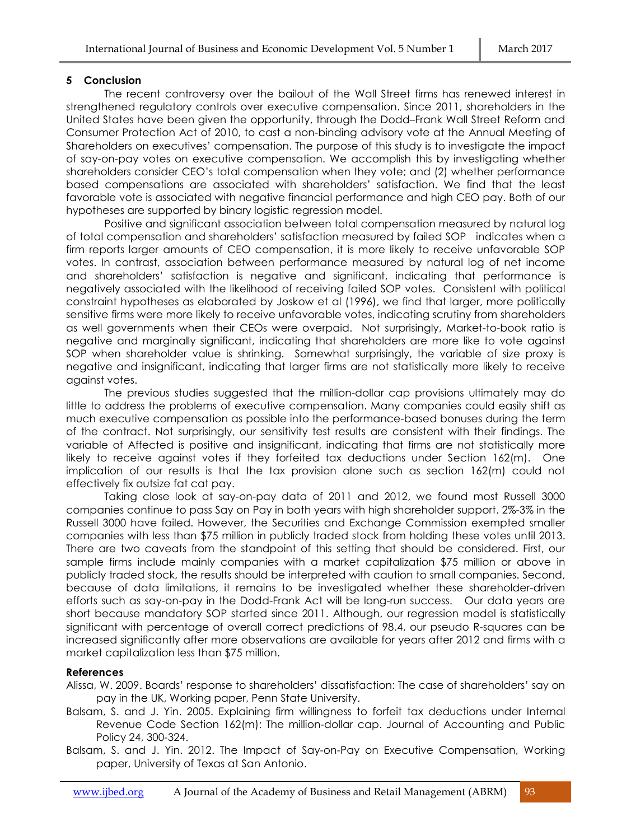## **5 Conclusion**

 The recent controversy over the bailout of the Wall Street firms has renewed interest in strengthened regulatory controls over executive compensation. Since 2011, shareholders in the United States have been given the opportunity, through the Dodd–Frank Wall Street Reform and Consumer Protection Act of 2010, to cast a non-binding advisory vote at the Annual Meeting of Shareholders on executives' compensation. The purpose of this study is to investigate the impact of say-on-pay votes on executive compensation. We accomplish this by investigating whether shareholders consider CEO's total compensation when they vote; and (2) whether performance based compensations are associated with shareholders' satisfaction. We find that the least favorable vote is associated with negative financial performance and high CEO pay. Both of our hypotheses are supported by binary logistic regression model.

 Positive and significant association between total compensation measured by natural log of total compensation and shareholders' satisfaction measured by failed SOP indicates when a firm reports larger amounts of CEO compensation, it is more likely to receive unfavorable SOP votes. In contrast, association between performance measured by natural log of net income and shareholders' satisfaction is negative and significant, indicating that performance is negatively associated with the likelihood of receiving failed SOP votes. Consistent with political constraint hypotheses as elaborated by Joskow et al (1996), we find that larger, more politically sensitive firms were more likely to receive unfavorable votes, indicating scrutiny from shareholders as well governments when their CEOs were overpaid. Not surprisingly, Market-to-book ratio is negative and marginally significant, indicating that shareholders are more like to vote against SOP when shareholder value is shrinking. Somewhat surprisingly, the variable of size proxy is negative and insignificant, indicating that larger firms are not statistically more likely to receive against votes.

 The previous studies suggested that the million-dollar cap provisions ultimately may do little to address the problems of executive compensation. Many companies could easily shift as much executive compensation as possible into the performance-based bonuses during the term of the contract. Not surprisingly, our sensitivity test results are consistent with their findings. The variable of Affected is positive and insignificant, indicating that firms are not statistically more likely to receive against votes if they forfeited tax deductions under Section 162(m). One implication of our results is that the tax provision alone such as section 162(m) could not effectively fix outsize fat cat pay.

 Taking close look at say-on-pay data of 2011 and 2012, we found most Russell 3000 companies continue to pass Say on Pay in both years with high shareholder support. 2%-3% in the Russell 3000 have failed. However, the Securities and Exchange Commission exempted smaller companies with less than \$75 million in publicly traded stock from holding these votes until 2013. There are two caveats from the standpoint of this setting that should be considered. First, our sample firms include mainly companies with a market capitalization \$75 million or above in publicly traded stock, the results should be interpreted with caution to small companies. Second, because of data limitations, it remains to be investigated whether these shareholder-driven efforts such as say-on-pay in the Dodd-Frank Act will be long-run success. Our data years are short because mandatory SOP started since 2011. Although, our regression model is statistically significant with percentage of overall correct predictions of 98.4, our pseudo R-squares can be increased significantly after more observations are available for years after 2012 and firms with a market capitalization less than \$75 million.

## **References**

Alissa, W. 2009. Boards' response to shareholders' dissatisfaction: The case of shareholders' say on pay in the UK, Working paper, Penn State University.

- Balsam, S. and J. Yin. 2005. Explaining firm willingness to forfeit tax deductions under Internal Revenue Code Section 162(m): The million-dollar cap. Journal of Accounting and Public Policy 24, 300-324.
- Balsam, S. and J. Yin. 2012. The Impact of Say-on-Pay on Executive Compensation, Working paper, University of Texas at San Antonio.